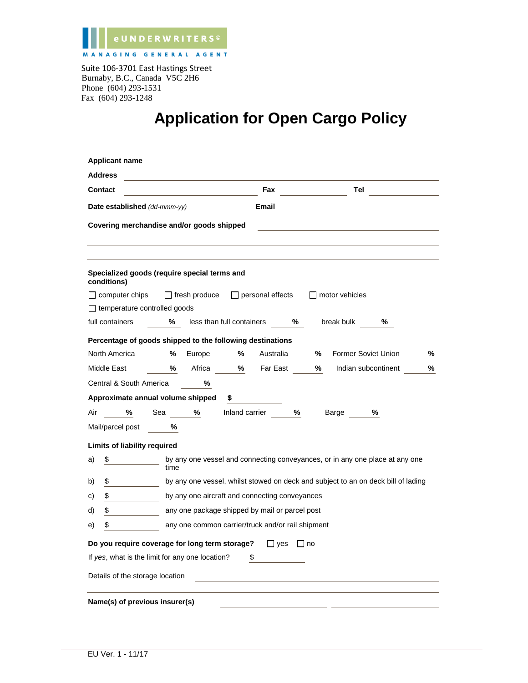

Burnaby, B.C., Canada V5C 2H6 Phone (604) 293-1531 Fax (604) 293-1248

## **Application for Open Cargo Policy**

| <b>Applicant name</b>                                                                             |  |  |  |  |  |
|---------------------------------------------------------------------------------------------------|--|--|--|--|--|
| <b>Address</b>                                                                                    |  |  |  |  |  |
| Tel<br><b>Contact</b><br>Fax                                                                      |  |  |  |  |  |
| Date established (dd-mmm-yy)<br>Email                                                             |  |  |  |  |  |
| Covering merchandise and/or goods shipped                                                         |  |  |  |  |  |
| Specialized goods (require special terms and<br>conditions)                                       |  |  |  |  |  |
| $\Box$ computer chips<br>$\Box$ fresh produce<br>$\Box$ personal effects<br>$\Box$ motor vehicles |  |  |  |  |  |
| $\Box$ temperature controlled goods                                                               |  |  |  |  |  |
| less than full containers %<br>full containers<br>%<br>break bulk<br>%                            |  |  |  |  |  |
| Percentage of goods shipped to the following destinations                                         |  |  |  |  |  |
| %<br>Former Soviet Union<br>North America<br>%<br>Europe<br>℅<br>Australia<br>%                   |  |  |  |  |  |
| %<br>%<br>Far East<br>℅<br>Middle East<br>Africa<br>Indian subcontinent<br>%                      |  |  |  |  |  |
| Central & South America<br>℅                                                                      |  |  |  |  |  |
| Approximate annual volume shipped<br>\$                                                           |  |  |  |  |  |
| %<br>$\%$<br>Inland carrier<br>%<br>Air<br>%<br>Sea<br>Barge                                      |  |  |  |  |  |
| Mail/parcel post<br>℅                                                                             |  |  |  |  |  |
| Limits of liability required                                                                      |  |  |  |  |  |
| by any one vessel and connecting conveyances, or in any one place at any one<br>\$<br>a)<br>time  |  |  |  |  |  |
| by any one vessel, whilst stowed on deck and subject to an on deck bill of lading<br>b)<br>\$     |  |  |  |  |  |
| by any one aircraft and connecting conveyances<br>\$<br>C)                                        |  |  |  |  |  |
| \$<br>any one package shipped by mail or parcel post<br>d)                                        |  |  |  |  |  |
| \$<br>any one common carrier/truck and/or rail shipment<br>e)                                     |  |  |  |  |  |
| Do you require coverage for long term storage?<br>$\Box$ yes $\Box$ no                            |  |  |  |  |  |
| If yes, what is the limit for any one location?<br>\$                                             |  |  |  |  |  |
| Details of the storage location                                                                   |  |  |  |  |  |
| Name(s) of previous insurer(s)                                                                    |  |  |  |  |  |